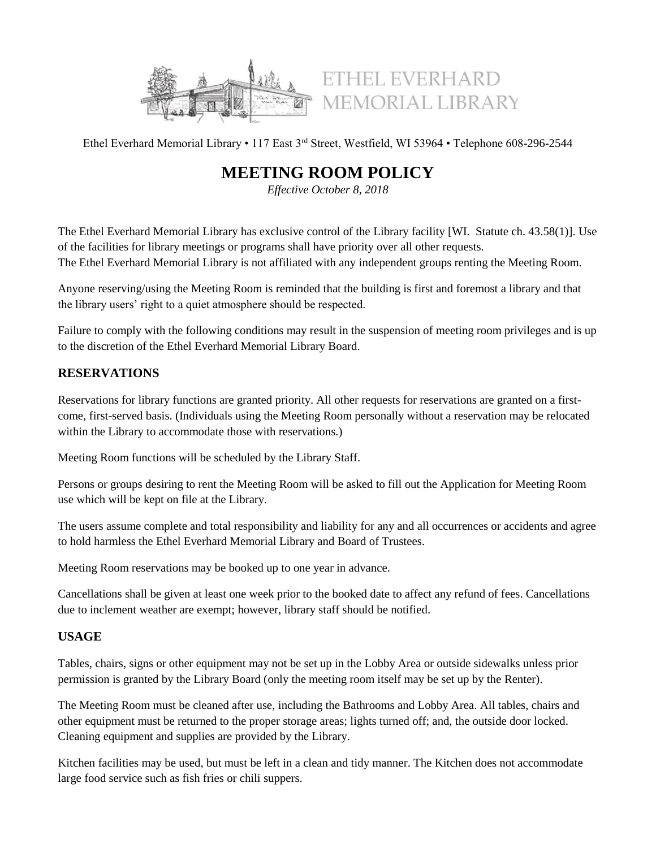

ETHEL EVERHARD MEMORIAL LIBRARY

Ethel Everhard Memorial Library • 117 East 3rd Street, Westfield, WI 53964 • Telephone 608-296-2544

# **MEETING ROOM POLICY**

*Effective October 8, 2018*

The Ethel Everhard Memorial Library has exclusive control of the Library facility [WI. Statute ch. 43.58(1)]. Use of the facilities for library meetings or programs shall have priority over all other requests. The Ethel Everhard Memorial Library is not affiliated with any independent groups renting the Meeting Room.

Anyone reserving/using the Meeting Room is reminded that the building is first and foremost a library and that the library users' right to a quiet atmosphere should be respected.

Failure to comply with the following conditions may result in the suspension of meeting room privileges and is up to the discretion of the Ethel Everhard Memorial Library Board.

## **RESERVATIONS**

Reservations for library functions are granted priority. All other requests for reservations are granted on a firstcome, first-served basis. (Individuals using the Meeting Room personally without a reservation may be relocated within the Library to accommodate those with reservations.)

Meeting Room functions will be scheduled by the Library Staff.

Persons or groups desiring to rent the Meeting Room will be asked to fill out the Application for Meeting Room use which will be kept on file at the Library.

The users assume complete and total responsibility and liability for any and all occurrences or accidents and agree to hold harmless the Ethel Everhard Memorial Library and Board of Trustees.

Meeting Room reservations may be booked up to one year in advance.

Cancellations shall be given at least one week prior to the booked date to affect any refund of fees. Cancellations due to inclement weather are exempt; however, library staff should be notified.

### **USAGE**

Tables, chairs, signs or other equipment may not be set up in the Lobby Area or outside sidewalks unless prior permission is granted by the Library Board (only the meeting room itself may be set up by the Renter).

The Meeting Room must be cleaned after use, including the Bathrooms and Lobby Area. All tables, chairs and other equipment must be returned to the proper storage areas; lights turned off; and, the outside door locked. Cleaning equipment and supplies are provided by the Library.

Kitchen facilities may be used, but must be left in a clean and tidy manner. The Kitchen does not accommodate large food service such as fish fries or chili suppers.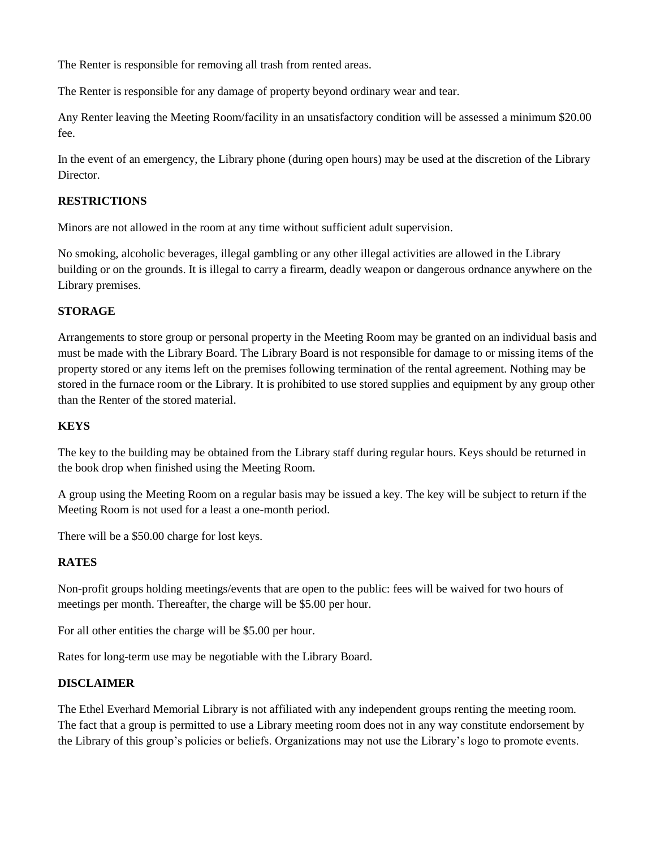The Renter is responsible for removing all trash from rented areas.

The Renter is responsible for any damage of property beyond ordinary wear and tear.

Any Renter leaving the Meeting Room/facility in an unsatisfactory condition will be assessed a minimum \$20.00 fee.

In the event of an emergency, the Library phone (during open hours) may be used at the discretion of the Library Director.

#### **RESTRICTIONS**

Minors are not allowed in the room at any time without sufficient adult supervision.

No smoking, alcoholic beverages, illegal gambling or any other illegal activities are allowed in the Library building or on the grounds. It is illegal to carry a firearm, deadly weapon or dangerous ordnance anywhere on the Library premises.

#### **STORAGE**

Arrangements to store group or personal property in the Meeting Room may be granted on an individual basis and must be made with the Library Board. The Library Board is not responsible for damage to or missing items of the property stored or any items left on the premises following termination of the rental agreement. Nothing may be stored in the furnace room or the Library. It is prohibited to use stored supplies and equipment by any group other than the Renter of the stored material.

#### **KEYS**

The key to the building may be obtained from the Library staff during regular hours. Keys should be returned in the book drop when finished using the Meeting Room.

A group using the Meeting Room on a regular basis may be issued a key. The key will be subject to return if the Meeting Room is not used for a least a one-month period.

There will be a \$50.00 charge for lost keys.

#### **RATES**

Non-profit groups holding meetings/events that are open to the public: fees will be waived for two hours of meetings per month. Thereafter, the charge will be \$5.00 per hour.

For all other entities the charge will be \$5.00 per hour.

Rates for long-term use may be negotiable with the Library Board.

### **DISCLAIMER**

The Ethel Everhard Memorial Library is not affiliated with any independent groups renting the meeting room. The fact that a group is permitted to use a Library meeting room does not in any way constitute endorsement by the Library of this group's policies or beliefs. Organizations may not use the Library's logo to promote events.